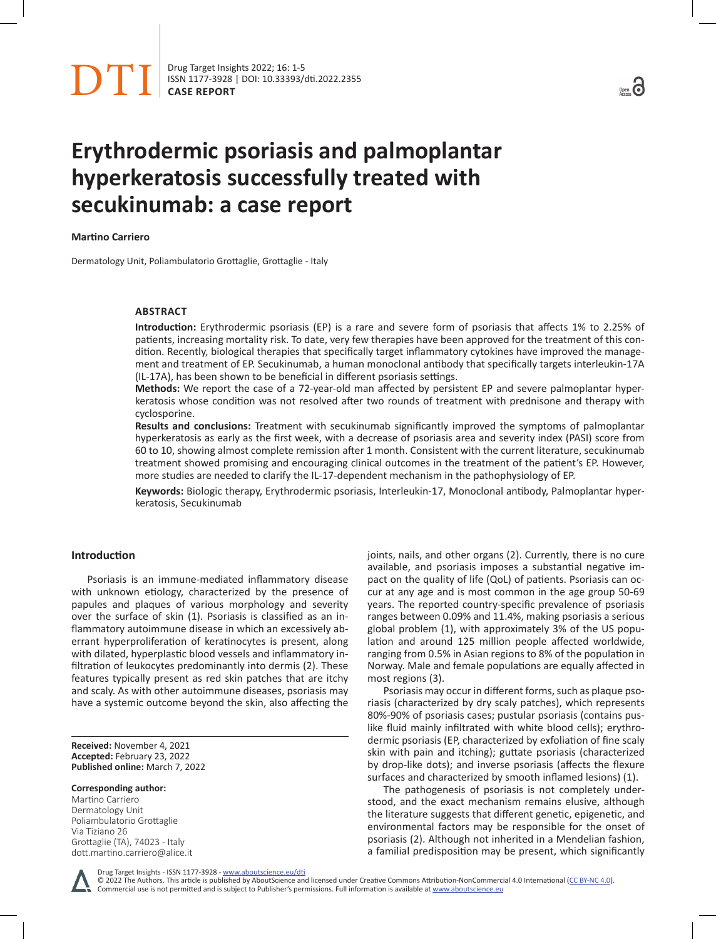

ISSN 1177-3928 | DOI: [10.33393/dti.2022.2355](https://doi.org/10.33393/dti.2022.2355) **CASE REPORT**



# **Erythrodermic psoriasis and palmoplantar hyperkeratosis successfully treated with secukinumab: a case report**

#### **Martino Carriero**

Dermatology Unit, Poliambulatorio Grottaglie, Grottaglie - Italy

## **ABSTRACT**

**Introduction:** Erythrodermic psoriasis (EP) is a rare and severe form of psoriasis that affects 1% to 2.25% of patients, increasing mortality risk. To date, very few therapies have been approved for the treatment of this condition. Recently, biological therapies that specifically target inflammatory cytokines have improved the management and treatment of EP. Secukinumab, a human monoclonal antibody that specifically targets interleukin-17A (IL-17A), has been shown to be beneficial in different psoriasis settings.

**Methods:** We report the case of a 72-year-old man affected by persistent EP and severe palmoplantar hyperkeratosis whose condition was not resolved after two rounds of treatment with prednisone and therapy with cyclosporine.

**Results and conclusions:** Treatment with secukinumab significantly improved the symptoms of palmoplantar hyperkeratosis as early as the first week, with a decrease of psoriasis area and severity index (PASI) score from 60 to 10, showing almost complete remission after 1 month. Consistent with the current literature, secukinumab treatment showed promising and encouraging clinical outcomes in the treatment of the patient's EP. However, more studies are needed to clarify the IL-17-dependent mechanism in the pathophysiology of EP.

**Keywords:** Biologic therapy, Erythrodermic psoriasis, Interleukin-17, Monoclonal antibody, Palmoplantar hyperkeratosis, Secukinumab

### **Introduction**

Psoriasis is an immune-mediated inflammatory disease with unknown etiology, characterized by the presence of papules and plaques of various morphology and severity over the surface of skin (1). Psoriasis is classified as an inflammatory autoimmune disease in which an excessively aberrant hyperproliferation of keratinocytes is present, along with dilated, hyperplastic blood vessels and inflammatory infiltration of leukocytes predominantly into dermis (2). These features typically present as red skin patches that are itchy and scaly. As with other autoimmune diseases, psoriasis may have a systemic outcome beyond the skin, also affecting the

**Received:** November 4, 2021 **Accepted:** February 23, 2022 **Published online:** March 7, 2022

#### **Corresponding author:**

Martino Carriero Dermatology Unit Poliambulatorio Grottaglie Via Tiziano 26 Grottaglie (TA), 74023 - Italy dott.martino.carriero@alice.it joints, nails, and other organs (2). Currently, there is no cure available, and psoriasis imposes a substantial negative impact on the quality of life (QoL) of patients. Psoriasis can occur at any age and is most common in the age group 50-69 years. The reported country-specific prevalence of psoriasis ranges between 0.09% and 11.4%, making psoriasis a serious global problem (1), with approximately 3% of the US population and around 125 million people affected worldwide, ranging from 0.5% in Asian regions to 8% of the population in Norway. Male and female populations are equally affected in most regions (3).

Psoriasis may occur in different forms, such as plaque psoriasis (characterized by dry scaly patches), which represents 80%-90% of psoriasis cases; pustular psoriasis (contains puslike fluid mainly infiltrated with white blood cells); erythrodermic psoriasis (EP, characterized by exfoliation of fine scaly skin with pain and itching); guttate psoriasis (characterized by drop-like dots); and inverse psoriasis (affects the flexure surfaces and characterized by smooth inflamed lesions) (1).

The pathogenesis of psoriasis is not completely understood, and the exact mechanism remains elusive, although the literature suggests that different genetic, epigenetic, and environmental factors may be responsible for the onset of psoriasis (2). Although not inherited in a Mendelian fashion, a familial predisposition may be present, which significantly

Drug Target Insights - ISSN 1177-3928 - www.aboutscience.eu/dti

© 2022 The Authors. This article is published by AboutScience and licensed under Creative Commons Attribution-NonCommercial 4.0 International ([CC BY-NC 4.0](https://creativecommons.org/licenses/by-nc/4.0/legalcode)). Commercial use is not permitted and is subject to Publisher's permissions. Full information is available at www.aboutscience.eu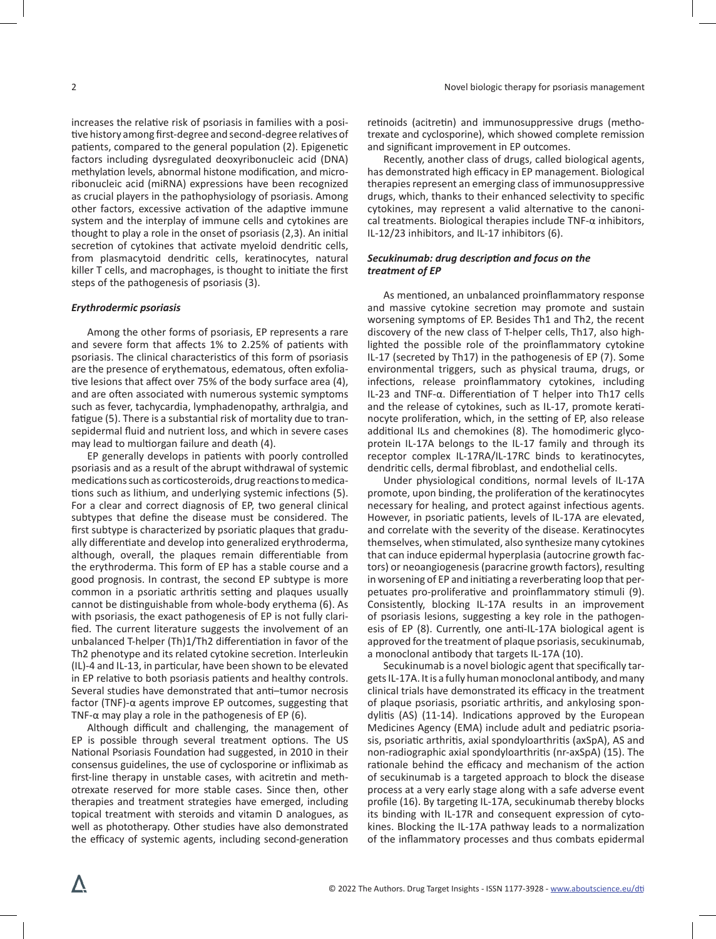increases the relative risk of psoriasis in families with a positive history among first-degree and second-degree relatives of patients, compared to the general population (2). Epigenetic factors including dysregulated deoxyribonucleic acid (DNA) methylation levels, abnormal histone modification, and microribonucleic acid (miRNA) expressions have been recognized as crucial players in the pathophysiology of psoriasis. Among other factors, excessive activation of the adaptive immune system and the interplay of immune cells and cytokines are thought to play a role in the onset of psoriasis (2,3). An initial secretion of cytokines that activate myeloid dendritic cells, from plasmacytoid dendritic cells, keratinocytes, natural killer T cells, and macrophages, is thought to initiate the first steps of the pathogenesis of psoriasis (3).

#### *Erythrodermic psoriasis*

Among the other forms of psoriasis, EP represents a rare and severe form that affects 1% to 2.25% of patients with psoriasis. The clinical characteristics of this form of psoriasis are the presence of erythematous, edematous, often exfoliative lesions that affect over 75% of the body surface area (4), and are often associated with numerous systemic symptoms such as fever, tachycardia, lymphadenopathy, arthralgia, and fatigue (5). There is a substantial risk of mortality due to transepidermal fluid and nutrient loss, and which in severe cases may lead to multiorgan failure and death (4).

EP generally develops in patients with poorly controlled psoriasis and as a result of the abrupt withdrawal of systemic medications such as corticosteroids, drug reactions to medications such as lithium, and underlying systemic infections (5). For a clear and correct diagnosis of EP, two general clinical subtypes that define the disease must be considered. The first subtype is characterized by psoriatic plaques that gradually differentiate and develop into generalized erythroderma, although, overall, the plaques remain differentiable from the erythroderma. This form of EP has a stable course and a good prognosis. In contrast, the second EP subtype is more common in a psoriatic arthritis setting and plaques usually cannot be distinguishable from whole-body erythema (6). As with psoriasis, the exact pathogenesis of EP is not fully clarified. The current literature suggests the involvement of an unbalanced T-helper (Th)1/Th2 differentiation in favor of the Th2 phenotype and its related cytokine secretion. Interleukin (IL)-4 and IL-13, in particular, have been shown to be elevated in EP relative to both psoriasis patients and healthy controls. Several studies have demonstrated that anti–tumor necrosis factor (TNF)-α agents improve EP outcomes, suggesting that TNF- $\alpha$  may play a role in the pathogenesis of EP (6).

Although difficult and challenging, the management of EP is possible through several treatment options. The US National Psoriasis Foundation had suggested, in 2010 in their consensus guidelines, the use of cyclosporine or infliximab as first-line therapy in unstable cases, with acitretin and methotrexate reserved for more stable cases. Since then, other therapies and treatment strategies have emerged, including topical treatment with steroids and vitamin D analogues, as well as phototherapy. Other studies have also demonstrated the efficacy of systemic agents, including second-generation

retinoids (acitretin) and immunosuppressive drugs (methotrexate and cyclosporine), which showed complete remission and significant improvement in EP outcomes.

Recently, another class of drugs, called biological agents, has demonstrated high efficacy in EP management. Biological therapies represent an emerging class of immunosuppressive drugs, which, thanks to their enhanced selectivity to specific cytokines, may represent a valid alternative to the canonical treatments. Biological therapies include TNF-α inhibitors, IL-12/23 inhibitors, and IL-17 inhibitors (6).

# *Secukinumab: drug description and focus on the treatment of EP*

As mentioned, an unbalanced proinflammatory response and massive cytokine secretion may promote and sustain worsening symptoms of EP. Besides Th1 and Th2, the recent discovery of the new class of T-helper cells, Th17, also highlighted the possible role of the proinflammatory cytokine IL-17 (secreted by Th17) in the pathogenesis of EP (7). Some environmental triggers, such as physical trauma, drugs, or infections, release proinflammatory cytokines, including IL-23 and TNF-α. Differentiation of T helper into Th17 cells and the release of cytokines, such as IL-17, promote keratinocyte proliferation, which, in the setting of EP, also release additional ILs and chemokines (8). The homodimeric glycoprotein IL-17A belongs to the IL-17 family and through its receptor complex IL-17RA/IL-17RC binds to keratinocytes, dendritic cells, dermal fibroblast, and endothelial cells.

Under physiological conditions, normal levels of IL-17A promote, upon binding, the proliferation of the keratinocytes necessary for healing, and protect against infectious agents. However, in psoriatic patients, levels of IL-17A are elevated, and correlate with the severity of the disease. Keratinocytes themselves, when stimulated, also synthesize many cytokines that can induce epidermal hyperplasia (autocrine growth factors) or neoangiogenesis (paracrine growth factors), resulting in worsening of EP and initiating a reverberating loop that perpetuates pro-proliferative and proinflammatory stimuli (9). Consistently, blocking IL-17A results in an improvement of psoriasis lesions, suggesting a key role in the pathogenesis of EP (8). Currently, one anti-IL-17A biological agent is approved for the treatment of plaque psoriasis, secukinumab, a monoclonal antibody that targets IL-17A (10).

Secukinumab is a novel biologic agent that specifically targets IL-17A. It is a fully human monoclonal antibody, and many clinical trials have demonstrated its efficacy in the treatment of plaque psoriasis, psoriatic arthritis, and ankylosing spondylitis (AS) (11-14). Indications approved by the European Medicines Agency (EMA) include adult and pediatric psoriasis, psoriatic arthritis, axial spondyloarthritis (axSpA), AS and non-radiographic axial spondyloarthritis (nr-axSpA) (15). The rationale behind the efficacy and mechanism of the action of secukinumab is a targeted approach to block the disease process at a very early stage along with a safe adverse event profile (16). By targeting IL-17A, secukinumab thereby blocks its binding with IL-17R and consequent expression of cytokines. Blocking the IL-17A pathway leads to a normalization of the inflammatory processes and thus combats epidermal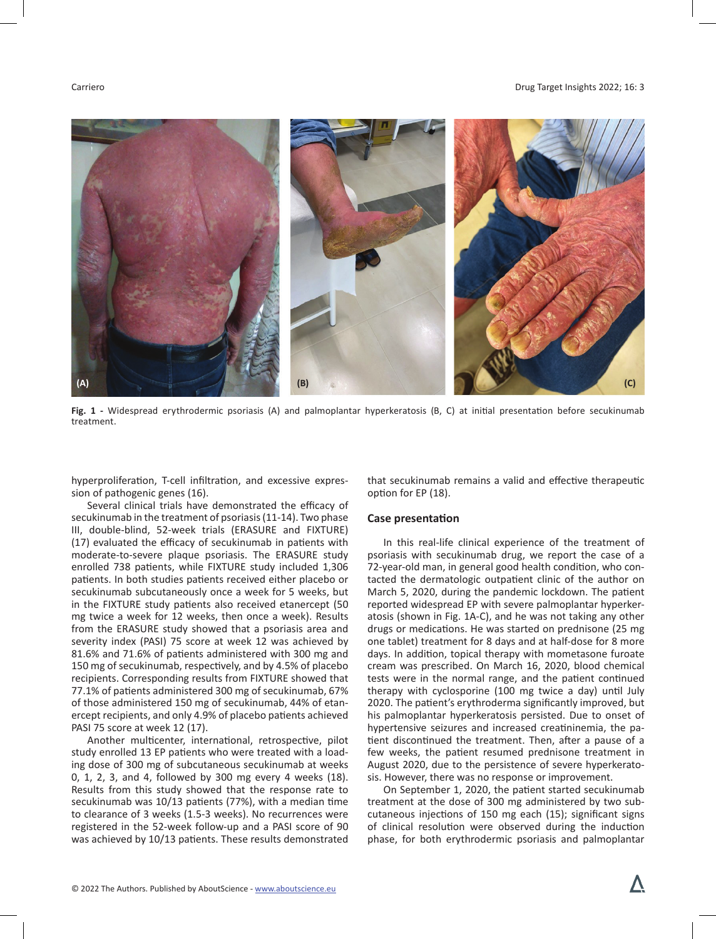#### Carriero Drug Target Insights 2022; 16: 3



**Fig. 1 -** Widespread erythrodermic psoriasis (A) and palmoplantar hyperkeratosis (B, C) at initial presentation before secukinumab treatment.

hyperproliferation, T-cell infiltration, and excessive expression of pathogenic genes (16).

Several clinical trials have demonstrated the efficacy of secukinumab in the treatment of psoriasis (11-14). Two phase III, double-blind, 52-week trials (ERASURE and FIXTURE) (17) evaluated the efficacy of secukinumab in patients with moderate-to-severe plaque psoriasis. The ERASURE study enrolled 738 patients, while FIXTURE study included 1,306 patients. In both studies patients received either placebo or secukinumab subcutaneously once a week for 5 weeks, but in the FIXTURE study patients also received etanercept (50 mg twice a week for 12 weeks, then once a week). Results from the ERASURE study showed that a psoriasis area and severity index (PASI) 75 score at week 12 was achieved by 81.6% and 71.6% of patients administered with 300 mg and 150 mg of secukinumab, respectively, and by 4.5% of placebo recipients. Corresponding results from FIXTURE showed that 77.1% of patients administered 300 mg of secukinumab, 67% of those administered 150 mg of secukinumab, 44% of etanercept recipients, and only 4.9% of placebo patients achieved PASI 75 score at week 12 (17).

Another multicenter, international, retrospective, pilot study enrolled 13 EP patients who were treated with a loading dose of 300 mg of subcutaneous secukinumab at weeks 0, 1, 2, 3, and 4, followed by 300 mg every 4 weeks (18). Results from this study showed that the response rate to secukinumab was 10/13 patients (77%), with a median time to clearance of 3 weeks (1.5-3 weeks). No recurrences were registered in the 52-week follow-up and a PASI score of 90 was achieved by 10/13 patients. These results demonstrated

that secukinumab remains a valid and effective therapeutic option for EP (18).

### **Case presentation**

In this real-life clinical experience of the treatment of psoriasis with secukinumab drug, we report the case of a 72-year-old man, in general good health condition, who contacted the dermatologic outpatient clinic of the author on March 5, 2020, during the pandemic lockdown. The patient reported widespread EP with severe palmoplantar hyperkeratosis (shown in Fig. 1A-C), and he was not taking any other drugs or medications. He was started on prednisone (25 mg one tablet) treatment for 8 days and at half-dose for 8 more days. In addition, topical therapy with mometasone furoate cream was prescribed. On March 16, 2020, blood chemical tests were in the normal range, and the patient continued therapy with cyclosporine (100 mg twice a day) until July 2020. The patient's erythroderma significantly improved, but his palmoplantar hyperkeratosis persisted. Due to onset of hypertensive seizures and increased creatininemia, the patient discontinued the treatment. Then, after a pause of a few weeks, the patient resumed prednisone treatment in August 2020, due to the persistence of severe hyperkeratosis. However, there was no response or improvement.

On September 1, 2020, the patient started secukinumab treatment at the dose of 300 mg administered by two subcutaneous injections of 150 mg each (15); significant signs of clinical resolution were observed during the induction phase, for both erythrodermic psoriasis and palmoplantar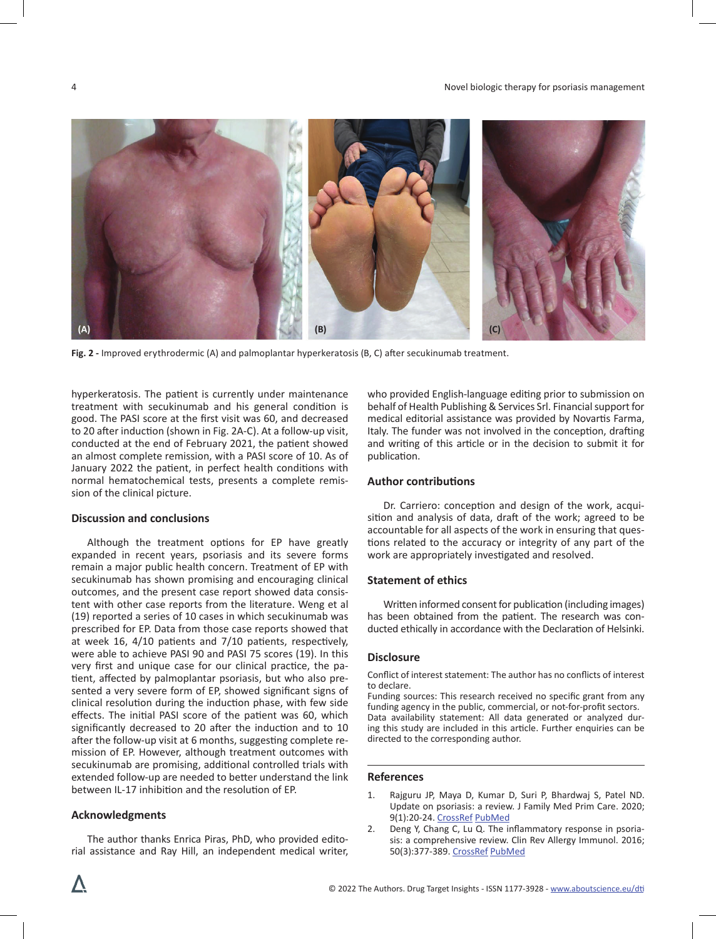

**Fig. 2 -** Improved erythrodermic (A) and palmoplantar hyperkeratosis (B, C) after secukinumab treatment.

hyperkeratosis. The patient is currently under maintenance treatment with secukinumab and his general condition is good. The PASI score at the first visit was 60, and decreased to 20 after induction (shown in Fig. 2A-C). At a follow-up visit, conducted at the end of February 2021, the patient showed an almost complete remission, with a PASI score of 10. As of January 2022 the patient, in perfect health conditions with normal hematochemical tests, presents a complete remission of the clinical picture.

### **Discussion and conclusions**

Although the treatment options for EP have greatly expanded in recent years, psoriasis and its severe forms remain a major public health concern. Treatment of EP with secukinumab has shown promising and encouraging clinical outcomes, and the present case report showed data consistent with other case reports from the literature. Weng et al (19) reported a series of 10 cases in which secukinumab was prescribed for EP. Data from those case reports showed that at week 16, 4/10 patients and 7/10 patients, respectively, were able to achieve PASI 90 and PASI 75 scores (19). In this very first and unique case for our clinical practice, the patient, affected by palmoplantar psoriasis, but who also presented a very severe form of EP, showed significant signs of clinical resolution during the induction phase, with few side effects. The initial PASI score of the patient was 60, which significantly decreased to 20 after the induction and to 10 after the follow-up visit at 6 months, suggesting complete remission of EP. However, although treatment outcomes with secukinumab are promising, additional controlled trials with extended follow-up are needed to better understand the link between IL-17 inhibition and the resolution of EP.

### **Acknowledgments**

The author thanks Enrica Piras, PhD, who provided editorial assistance and Ray Hill, an independent medical writer, who provided English-language editing prior to submission on behalf of Health Publishing & Services Srl. Financial support for medical editorial assistance was provided by Novartis Farma, Italy. The funder was not involved in the conception, drafting and writing of this article or in the decision to submit it for publication.

# **Author contributions**

Dr. Carriero: conception and design of the work, acquisition and analysis of data, draft of the work; agreed to be accountable for all aspects of the work in ensuring that questions related to the accuracy or integrity of any part of the work are appropriately investigated and resolved.

#### **Statement of ethics**

Written informed consent for publication (including images) has been obtained from the patient. The research was conducted ethically in accordance with the Declaration of Helsinki.

# **Disclosure**

Conflict of interest statement: The author has no conflicts of interest to declare.

Funding sources: This research received no specific grant from any funding agency in the public, commercial, or not-for-profit sectors. Data availability statement: All data generated or analyzed during this study are included in this article. Further enquiries can be directed to the corresponding author.

#### **References**

- 1. Rajguru JP, Maya D, Kumar D, Suri P, Bhardwaj S, Patel ND. Update on psoriasis: a review. J Family Med Prim Care. 2020; 9(1):20-24. [CrossRef](https://doi.org/10.4103/jfmpc.jfmpc_689_19) [PubMed](https://www.ncbi.nlm.nih.gov/pubmed/32110559)
- 2. Deng Y, Chang C, Lu Q. The inflammatory response in psoriasis: a comprehensive review. Clin Rev Allergy Immunol. 2016; 50(3):377-389. [CrossRef](https://doi.org/10.1007/s12016-016-8535-x) [PubMed](https://www.ncbi.nlm.nih.gov/pubmed/27025861)